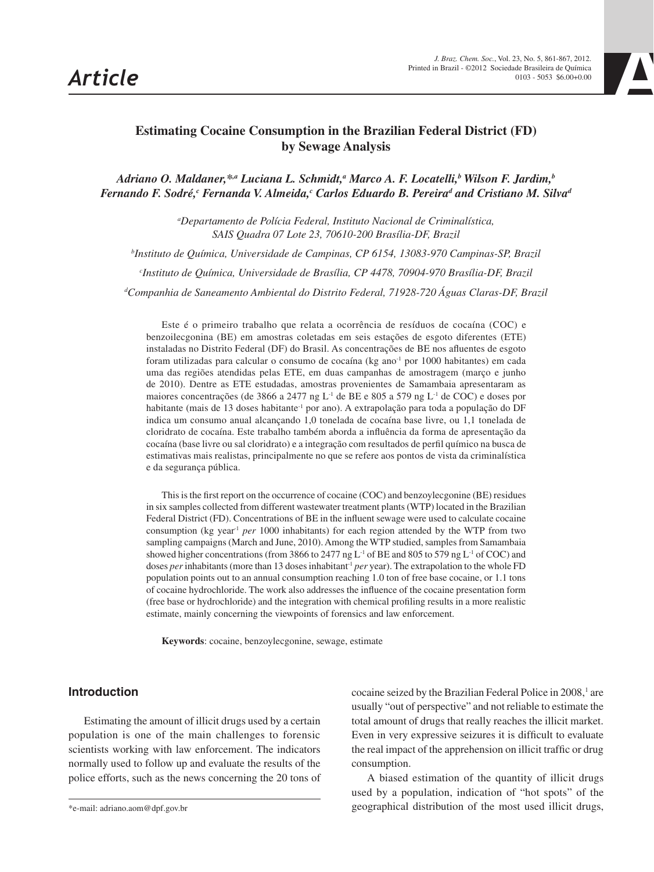

# **Estimating Cocaine Consumption in the Brazilian Federal District (FD) by Sewage Analysis**

Adriano O. Maldaner,\*<sup>,a</sup> Luciana L. Schmidt,<sup>a</sup> Marco A. F. Locatelli,<sup>b</sup> Wilson F. Jardim,<sup>b</sup> Fernando F. Sodré,<sup>c</sup> Fernanda V. Almeida,<sup>c</sup> Carlos Eduardo B. Pereira<sup>d</sup> and Cristiano M. Silva<sup>d</sup>

> *a Departamento de Polícia Federal, Instituto Nacional de Criminalística, SAIS Quadra 07 Lote 23, 70610-200 Brasília-DF, Brazil*

*b Instituto de Química, Universidade de Campinas, CP 6154, 13083-970 Campinas-SP, Brazil*

*c Instituto de Química, Universidade de Brasília, CP 4478, 70904-970 Brasília-DF, Brazil*

*d Companhia de Saneamento Ambiental do Distrito Federal, 71928-720 Águas Claras-DF, Brazil*

Este é o primeiro trabalho que relata a ocorrência de resíduos de cocaína (COC) e benzoilecgonina (BE) em amostras coletadas em seis estações de esgoto diferentes (ETE) instaladas no Distrito Federal (DF) do Brasil. As concentrações de BE nos afluentes de esgoto foram utilizadas para calcular o consumo de cocaína (kg ano-1 por 1000 habitantes) em cada uma das regiões atendidas pelas ETE, em duas campanhas de amostragem (março e junho de 2010). Dentre as ETE estudadas, amostras provenientes de Samambaia apresentaram as maiores concentrações (de 3866 a 2477 ng L-1 de BE e 805 a 579 ng L-1 de COC) e doses por habitante (mais de 13 doses habitante<sup>-1</sup> por ano). A extrapolação para toda a população do DF indica um consumo anual alcançando 1,0 tonelada de cocaína base livre, ou 1,1 tonelada de cloridrato de cocaína. Este trabalho também aborda a influência da forma de apresentação da cocaína (base livre ou sal cloridrato) e a integração com resultados de perfil químico na busca de estimativas mais realistas, principalmente no que se refere aos pontos de vista da criminalística e da segurança pública.

This is the first report on the occurrence of cocaine (COC) and benzoylecgonine (BE) residues in six samples collected from different wastewater treatment plants (WTP) located in the Brazilian Federal District (FD). Concentrations of BE in the influent sewage were used to calculate cocaine consumption (kg year<sup>-1</sup> per 1000 inhabitants) for each region attended by the WTP from two sampling campaigns (March and June, 2010). Among the WTP studied, samples from Samambaia showed higher concentrations (from 3866 to 2477 ng  $L<sup>-1</sup>$  of BE and 805 to 579 ng  $L<sup>-1</sup>$  of COC) and doses *per* inhabitants (more than 13 doses inhabitant<sup>1</sup> *per* year). The extrapolation to the whole FD population points out to an annual consumption reaching 1.0 ton of free base cocaine, or 1.1 tons of cocaine hydrochloride. The work also addresses the influence of the cocaine presentation form (free base or hydrochloride) and the integration with chemical profiling results in a more realistic estimate, mainly concerning the viewpoints of forensics and law enforcement.

**Keywords**: cocaine, benzoylecgonine, sewage, estimate

## **Introduction**

Estimating the amount of illicit drugs used by a certain population is one of the main challenges to forensic scientists working with law enforcement. The indicators normally used to follow up and evaluate the results of the police efforts, such as the news concerning the 20 tons of

cocaine seized by the Brazilian Federal Police in 2008,<sup>1</sup> are usually "out of perspective" and not reliable to estimate the total amount of drugs that really reaches the illicit market. Even in very expressive seizures it is difficult to evaluate the real impact of the apprehension on illicit traffic or drug consumption.

A biased estimation of the quantity of illicit drugs used by a population, indication of "hot spots" of the geographical distribution of the most used illicit drugs,

<sup>\*</sup>e-mail: adriano.aom@dpf.gov.br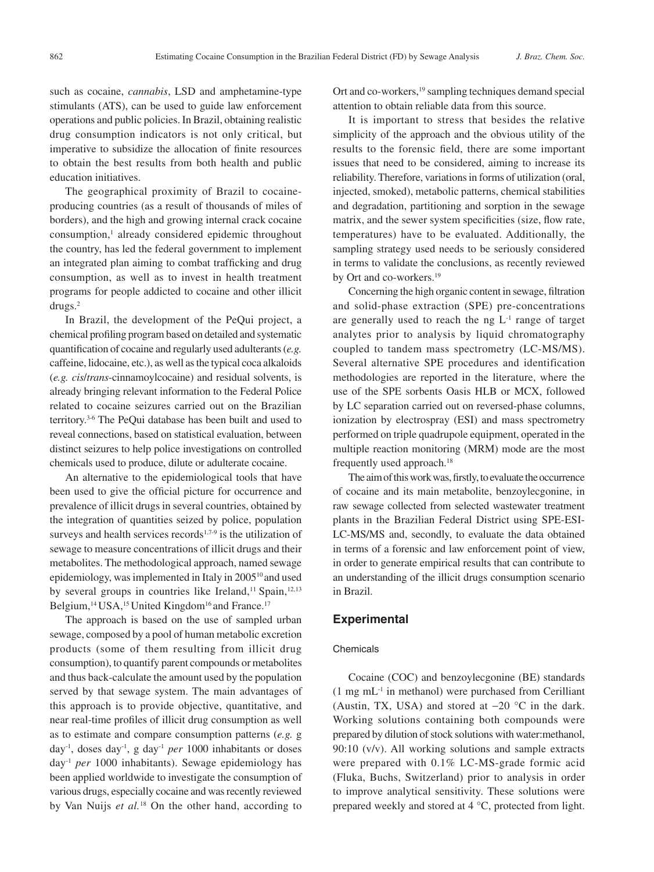such as cocaine, *cannabis*, LSD and amphetamine-type stimulants (ATS), can be used to guide law enforcement operations and public policies. In Brazil, obtaining realistic drug consumption indicators is not only critical, but imperative to subsidize the allocation of finite resources to obtain the best results from both health and public education initiatives.

The geographical proximity of Brazil to cocaineproducing countries (as a result of thousands of miles of borders), and the high and growing internal crack cocaine consumption,<sup>1</sup> already considered epidemic throughout the country, has led the federal government to implement an integrated plan aiming to combat trafficking and drug consumption, as well as to invest in health treatment programs for people addicted to cocaine and other illicit drugs.2

In Brazil, the development of the PeQui project, a chemical profiling program based on detailed and systematic quantification of cocaine and regularly used adulterants (*e.g.* caffeine, lidocaine, etc.), as well as the typical coca alkaloids (*e.g. cis*/*trans*-cinnamoylcocaine) and residual solvents, is already bringing relevant information to the Federal Police related to cocaine seizures carried out on the Brazilian territory.3-6 The PeQui database has been built and used to reveal connections, based on statistical evaluation, between distinct seizures to help police investigations on controlled chemicals used to produce, dilute or adulterate cocaine.

An alternative to the epidemiological tools that have been used to give the official picture for occurrence and prevalence of illicit drugs in several countries, obtained by the integration of quantities seized by police, population surveys and health services records<sup>1,7-9</sup> is the utilization of sewage to measure concentrations of illicit drugs and their metabolites. The methodological approach, named sewage epidemiology, was implemented in Italy in 2005<sup>10</sup> and used by several groups in countries like Ireland,<sup>11</sup> Spain,<sup>12,13</sup> Belgium,<sup>14</sup> USA,<sup>15</sup> United Kingdom<sup>16</sup> and France.<sup>17</sup>

The approach is based on the use of sampled urban sewage, composed by a pool of human metabolic excretion products (some of them resulting from illicit drug consumption), to quantify parent compounds or metabolites and thus back-calculate the amount used by the population served by that sewage system. The main advantages of this approach is to provide objective, quantitative, and near real-time profiles of illicit drug consumption as well as to estimate and compare consumption patterns (*e.g.* g day-1, doses day-1, g day-1 *per* 1000 inhabitants or doses day-1 *per* 1000 inhabitants). Sewage epidemiology has been applied worldwide to investigate the consumption of various drugs, especially cocaine and was recently reviewed by Van Nuijs *et al.*18 On the other hand, according to Ort and co-workers,<sup>19</sup> sampling techniques demand special attention to obtain reliable data from this source.

It is important to stress that besides the relative simplicity of the approach and the obvious utility of the results to the forensic field, there are some important issues that need to be considered, aiming to increase its reliability. Therefore, variations in forms of utilization (oral, injected, smoked), metabolic patterns, chemical stabilities and degradation, partitioning and sorption in the sewage matrix, and the sewer system specificities (size, flow rate, temperatures) have to be evaluated. Additionally, the sampling strategy used needs to be seriously considered in terms to validate the conclusions, as recently reviewed by Ort and co-workers.<sup>19</sup>

Concerning the high organic content in sewage, filtration and solid-phase extraction (SPE) pre-concentrations are generally used to reach the ng  $L<sup>-1</sup>$  range of target analytes prior to analysis by liquid chromatography coupled to tandem mass spectrometry (LC-MS/MS). Several alternative SPE procedures and identification methodologies are reported in the literature, where the use of the SPE sorbents Oasis HLB or MCX, followed by LC separation carried out on reversed-phase columns, ionization by electrospray (ESI) and mass spectrometry performed on triple quadrupole equipment, operated in the multiple reaction monitoring (MRM) mode are the most frequently used approach.<sup>18</sup>

The aim of this work was, firstly, to evaluate the occurrence of cocaine and its main metabolite, benzoylecgonine, in raw sewage collected from selected wastewater treatment plants in the Brazilian Federal District using SPE-ESI-LC-MS/MS and, secondly, to evaluate the data obtained in terms of a forensic and law enforcement point of view, in order to generate empirical results that can contribute to an understanding of the illicit drugs consumption scenario in Brazil.

## **Experimental**

## Chemicals

Cocaine (COC) and benzoylecgonine (BE) standards  $(1 \text{ mg } mL^{-1}$  in methanol) were purchased from Cerilliant (Austin, TX, USA) and stored at  $-20$  °C in the dark. Working solutions containing both compounds were prepared by dilution of stock solutions with water:methanol, 90:10 (v/v). All working solutions and sample extracts were prepared with 0.1% LC-MS-grade formic acid (Fluka, Buchs, Switzerland) prior to analysis in order to improve analytical sensitivity. These solutions were prepared weekly and stored at 4 °C, protected from light.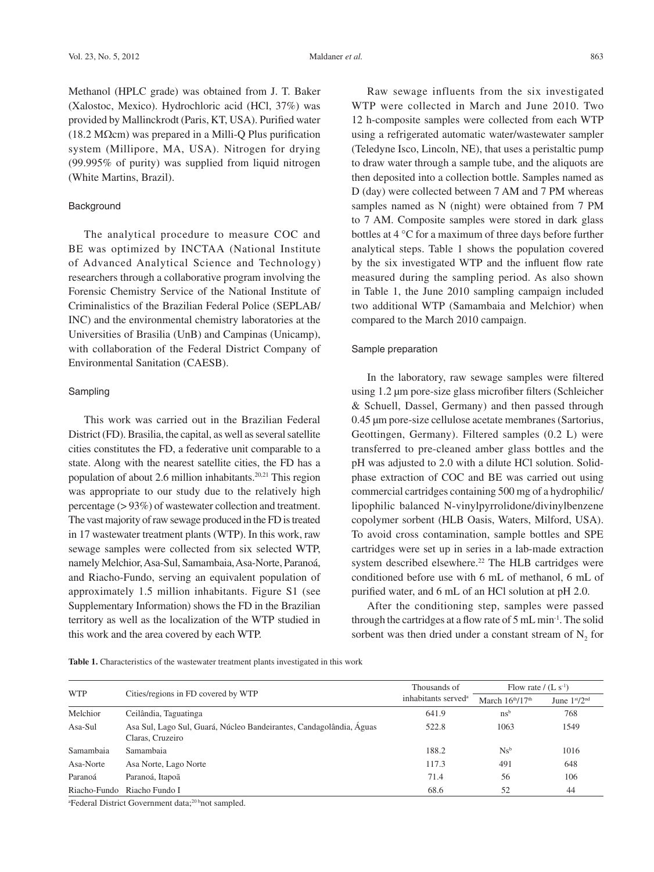Methanol (HPLC grade) was obtained from J. T. Baker (Xalostoc, Mexico). Hydrochloric acid (HCl, 37%) was provided by Mallinckrodt (Paris, KT, USA). Purified water (18.2 MΩcm) was prepared in a Milli-Q Plus purification system (Millipore, MA, USA). Nitrogen for drying  $(99.995\%$  of purity) was supplied from liquid nitrogen (White Martins, Brazil).

#### **Background**

The analytical procedure to measure COC and BE was optimized by INCTAA (National Institute of Advanced Analytical Science and Technology) researchers through a collaborative program involving the Forensic Chemistry Service of the National Institute of Criminalistics of the Brazilian Federal Police (SEPLAB/ INC) and the environmental chemistry laboratories at the Universities of Brasilia (UnB) and Campinas (Unicamp), with collaboration of the Federal District Company of Environmental Sanitation (CAESB).

#### Sampling

This work was carried out in the Brazilian Federal District (FD). Brasilia, the capital, as well as several satellite cities constitutes the FD, a federative unit comparable to a state. Along with the nearest satellite cities, the FD has a population of about 2.6 million inhabitants. $20,21$  This region was appropriate to our study due to the relatively high percentage (> 93%) of wastewater collection and treatment. The vast majority of raw sewage produced in the FD is treated in 17 wastewater treatment plants (WTP). In this work, raw sewage samples were collected from six selected WTP, namely Melchior, Asa-Sul, Samambaia, Asa-Norte, Paranoá, and Riacho-Fundo, serving an equivalent population of approximately 1.5 million inhabitants. Figure S1 (see Supplementary Information) shows the FD in the Brazilian territory as well as the localization of the WTP studied in this work and the area covered by each WTP.

Raw sewage influents from the six investigated WTP were collected in March and June 2010. Two 12 h-composite samples were collected from each WTP using a refrigerated automatic water/wastewater sampler (Teledyne Isco, Lincoln, NE), that uses a peristaltic pump to draw water through a sample tube, and the aliquots are then deposited into a collection bottle. Samples named as D (day) were collected between 7 AM and 7 PM whereas samples named as N (night) were obtained from 7 PM to 7 AM. Composite samples were stored in dark glass bottles at 4 °C for a maximum of three days before further analytical steps. Table 1 shows the population covered by the six investigated WTP and the influent flow rate measured during the sampling period. As also shown in Table 1, the June 2010 sampling campaign included two additional WTP (Samambaia and Melchior) when compared to the March 2010 campaign.

#### Sample preparation

In the laboratory, raw sewage samples were filtered using 1.2 µm pore-size glass microfiber filters (Schleicher & Schuell, Dassel, Germany) and then passed through 0.45 µm pore-size cellulose acetate membranes (Sartorius, Geottingen, Germany). Filtered samples (0.2 L) were transferred to pre-cleaned amber glass bottles and the pH was adjusted to 2.0 with a dilute HCl solution. Solidphase extraction of COC and BE was carried out using commercial cartridges containing 500 mg of a hydrophilic/ lipophilic balanced N-vinylpyrrolidone/divinylbenzene copolymer sorbent (HLB Oasis, Waters, Milford, USA). To avoid cross contamination, sample bottles and SPE cartridges were set up in series in a lab-made extraction system described elsewhere.<sup>22</sup> The HLB cartridges were conditioned before use with 6 mL of methanol, 6 mL of purified water, and 6 mL of an HCl solution at pH 2.0.

After the conditioning step, samples were passed through the cartridges at a flow rate of 5 mL min-1. The solid sorbent was then dried under a constant stream of  $N<sub>2</sub>$  for

**Table 1.** Characteristics of the wastewater treatment plants investigated in this work

| <b>WTP</b>   |                                                                                         | Thousands of                    | Flow rate $/(L s-1)$ |                |
|--------------|-----------------------------------------------------------------------------------------|---------------------------------|----------------------|----------------|
|              | Cities/regions in FD covered by WTP                                                     | inhabitants served <sup>a</sup> | March $16th/17th$    | June $1st/2nd$ |
| Melchior     | Ceilândia, Taguatinga                                                                   | 641.9                           | $\rm ns^b$           | 768            |
| Asa-Sul      | Asa Sul, Lago Sul, Guará, Núcleo Bandeirantes, Candagolândia, Águas<br>Claras, Cruzeiro | 522.8                           | 1063                 | 1549           |
| Samambaia    | Samambaia                                                                               | 188.2                           | $Ns^b$               | 1016           |
| Asa-Norte    | Asa Norte, Lago Norte                                                                   | 117.3                           | 491                  | 648            |
| Paranoá      | Paranoá, Itapoã                                                                         | 71.4                            | 56                   | 106            |
| Riacho-Fundo | Riacho Fundo I                                                                          | 68.6                            | 52                   | 44             |

<sup>a</sup>Federal District Government data;<sup>20 b</sup>not sampled.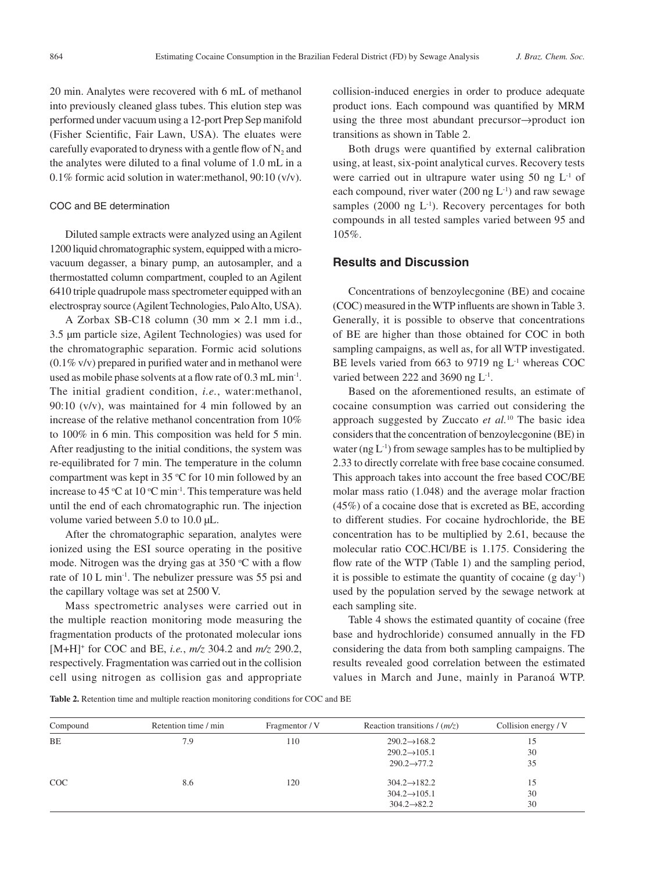20 min. Analytes were recovered with 6 mL of methanol into previously cleaned glass tubes. This elution step was performed under vacuum using a 12-port Prep Sep manifold (Fisher Scientific, Fair Lawn, USA). The eluates were carefully evaporated to dryness with a gentle flow of  $N_2$  and the analytes were diluted to a final volume of 1.0 mL in a 0.1% formic acid solution in water:methanol, 90:10 (v/v).

#### COC and BE determination

Diluted sample extracts were analyzed using an Agilent 1200 liquid chromatographic system, equipped with a microvacuum degasser, a binary pump, an autosampler, and a thermostatted column compartment, coupled to an Agilent 6410 triple quadrupole mass spectrometer equipped with an electrospray source (Agilent Technologies, Palo Alto, USA).

A Zorbax SB-C18 column (30 mm × 2.1 mm i.d., 3.5 µm particle size, Agilent Technologies) was used for the chromatographic separation. Formic acid solutions  $(0.1\%$  v/v) prepared in purified water and in methanol were used as mobile phase solvents at a flow rate of 0.3 mL min<sup>-1</sup>. The initial gradient condition, *i.e.*, water:methanol, 90:10 (v/v), was maintained for 4 min followed by an increase of the relative methanol concentration from 10% to 100% in 6 min. This composition was held for 5 min. After readjusting to the initial conditions, the system was re-equilibrated for 7 min. The temperature in the column compartment was kept in 35  $\degree$ C for 10 min followed by an increase to 45 °C at 10 °C min<sup>-1</sup>. This temperature was held until the end of each chromatographic run. The injection volume varied between 5.0 to 10.0 µL.

After the chromatographic separation, analytes were ionized using the ESI source operating in the positive mode. Nitrogen was the drying gas at  $350^{\circ}$ C with a flow rate of 10 L min-1. The nebulizer pressure was 55 psi and the capillary voltage was set at 2500 V.

Mass spectrometric analyses were carried out in the multiple reaction monitoring mode measuring the fragmentation products of the protonated molecular ions [M+H]+ for COC and BE, *i.e.*, *m/z* 304.2 and *m/z* 290.2, respectively. Fragmentation was carried out in the collision cell using nitrogen as collision gas and appropriate

collision-induced energies in order to produce adequate product ions. Each compound was quantified by MRM using the three most abundant precursor→product ion transitions as shown in Table 2.

Both drugs were quantified by external calibration using, at least, six-point analytical curves. Recovery tests were carried out in ultrapure water using  $50$  ng  $L<sup>-1</sup>$  of each compound, river water  $(200 \text{ ng } L^{-1})$  and raw sewage samples (2000 ng  $L^{-1}$ ). Recovery percentages for both compounds in all tested samples varied between 95 and 105%.

## **Results and Discussion**

Concentrations of benzoylecgonine (BE) and cocaine (COC) measured in the WTP influents are shown in Table 3. Generally, it is possible to observe that concentrations of BE are higher than those obtained for COC in both sampling campaigns, as well as, for all WTP investigated. BE levels varied from 663 to 9719 ng L<sup>-1</sup> whereas COC varied between 222 and 3690 ng  $L<sup>-1</sup>$ .

Based on the aforementioned results, an estimate of cocaine consumption was carried out considering the approach suggested by Zuccato *et al.*10 The basic idea considers that the concentration of benzoylecgonine (BE) in water ( $ng L^{-1}$ ) from sewage samples has to be multiplied by 2.33 to directly correlate with free base cocaine consumed. This approach takes into account the free based COC/BE molar mass ratio (1.048) and the average molar fraction (45%) of a cocaine dose that is excreted as BE, according to different studies. For cocaine hydrochloride, the BE concentration has to be multiplied by 2.61, because the molecular ratio COC.HCl/BE is 1.175. Considering the flow rate of the WTP (Table 1) and the sampling period, it is possible to estimate the quantity of cocaine  $(g \, day^{-1})$ used by the population served by the sewage network at each sampling site.

Table 4 shows the estimated quantity of cocaine (free base and hydrochloride) consumed annually in the FD considering the data from both sampling campaigns. The results revealed good correlation between the estimated values in March and June, mainly in Paranoá WTP.

**Table 2.** Retention time and multiple reaction monitoring conditions for COC and BE

| Compound   | Retention time / min | Fragmentor / V | Reaction transitions $/(m/z)$ | Collision energy / V |
|------------|----------------------|----------------|-------------------------------|----------------------|
| BE         | 7.9                  | 110            | $290.2 \rightarrow 168.2$     | 15                   |
|            |                      |                | $290.2 \rightarrow 105.1$     | 30                   |
|            |                      |                | $290.2 \rightarrow 77.2$      | 35                   |
| <b>COC</b> | 8.6                  | 120            | $304.2 \rightarrow 182.2$     | 15                   |
|            |                      |                | $304.2 \rightarrow 105.1$     | 30                   |
|            |                      |                | $304.2 \rightarrow 82.2$      | 30                   |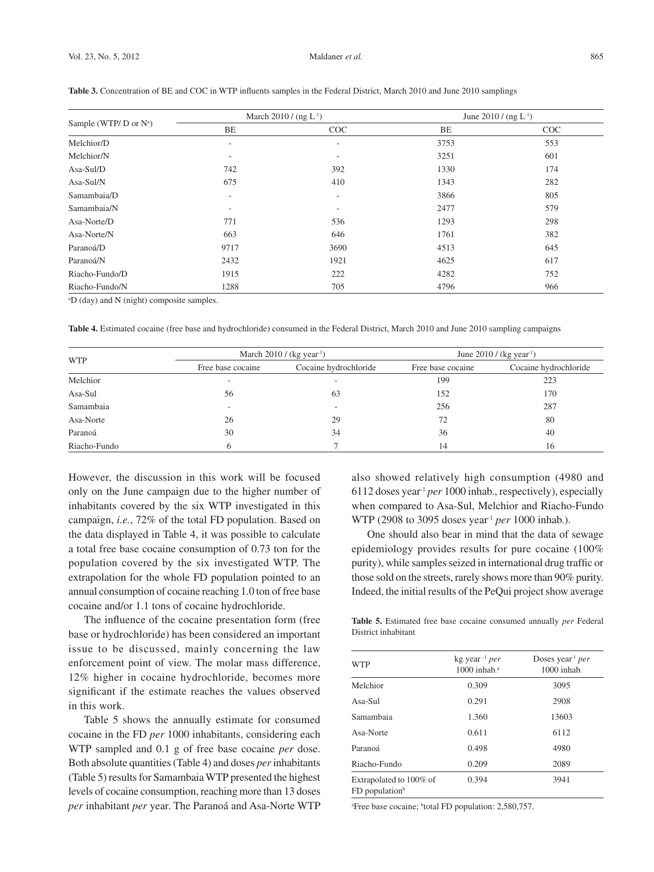|                             |                          | March 2010 / (ng $L^{-1}$ ) | June 2010 / $($ ng L <sup>-1</sup> $)$ |     |
|-----------------------------|--------------------------|-----------------------------|----------------------------------------|-----|
| Sample (WTP/ $D$ or $N^a$ ) | BE                       | COC                         | BE                                     | COC |
| Melchior/D                  | $\overline{\phantom{a}}$ | ٠                           | 3753                                   | 553 |
| Melchior/N                  | -                        | $\overline{\phantom{a}}$    | 3251                                   | 601 |
| Asa-Sul/D                   | 742                      | 392                         | 1330                                   | 174 |
| Asa-Sul/N                   | 675                      | 410                         | 1343                                   | 282 |
| Samambaia/D                 | $\overline{\phantom{a}}$ | $\overline{\phantom{a}}$    | 3866                                   | 805 |
| Samambaia/N                 | $\overline{\phantom{a}}$ | $\overline{\phantom{a}}$    | 2477                                   | 579 |
| Asa-Norte/D                 | 771                      | 536                         | 1293                                   | 298 |
| Asa-Norte/N                 | 663                      | 646                         | 1761                                   | 382 |
| Paranoá/D                   | 9717                     | 3690                        | 4513                                   | 645 |
| Paranoá/N                   | 2432                     | 1921                        | 4625                                   | 617 |
| Riacho-Fundo/D              | 1915                     | 222                         | 4282                                   | 752 |
| Riacho-Fundo/N              | 1288                     | 705                         | 4796                                   | 966 |

Table 3. Concentration of BE and COC in WTP influents samples in the Federal District, March 2010 and June 2010 samplings

a D (day) and N (night) composite samples.

**Table 4.** Estimated cocaine (free base and hydrochloride) consumed in the Federal District, March 2010 and June 2010 sampling campaigns

|              |                          | March $2010$ / (kg year <sup>1</sup> ) | June 2010 / (kg year <sup>1</sup> ) |                       |  |
|--------------|--------------------------|----------------------------------------|-------------------------------------|-----------------------|--|
| <b>WTP</b>   | Free base cocaine        | Cocaine hydrochloride                  | Free base cocaine                   | Cocaine hydrochloride |  |
| Melchior     | $\overline{\phantom{a}}$ | ۰                                      | 199                                 | 223                   |  |
| Asa-Sul      | 56                       | 63                                     | 152                                 | 170                   |  |
| Samambaia    | $\overline{\phantom{a}}$ | $\overline{\phantom{a}}$               | 256                                 | 287                   |  |
| Asa-Norte    | 26                       | 29                                     | 72                                  | 80                    |  |
| Paranoá      | 30                       | 34                                     | 36                                  | 40                    |  |
| Riacho-Fundo | h                        |                                        | 14                                  | 16                    |  |

However, the discussion in this work will be focused only on the June campaign due to the higher number of inhabitants covered by the six WTP investigated in this campaign, *i.e.*, 72% of the total FD population. Based on the data displayed in Table 4, it was possible to calculate a total free base cocaine consumption of 0.73 ton for the population covered by the six investigated WTP. The extrapolation for the whole FD population pointed to an annual consumption of cocaine reaching 1.0 ton of free base cocaine and/or 1.1 tons of cocaine hydrochloride.

The influence of the cocaine presentation form (free base or hydrochloride) has been considered an important issue to be discussed, mainly concerning the law enforcement point of view. The molar mass difference, 12% higher in cocaine hydrochloride, becomes more significant if the estimate reaches the values observed in this work.

Table 5 shows the annually estimate for consumed cocaine in the FD *per* 1000 inhabitants, considering each WTP sampled and 0.1 g of free base cocaine *per* dose. Both absolute quantities (Table 4) and doses *per* inhabitants (Table 5) results for Samambaia WTP presented the highest levels of cocaine consumption, reaching more than 13 doses *per* inhabitant *per* year. The Paranoá and Asa-Norte WTP also showed relatively high consumption (4980 and 6112 doses year-1 *per* 1000 inhab., respectively), especially when compared to Asa-Sul, Melchior and Riacho-Fundo WTP (2908 to 3095 doses year-1 *per* 1000 inhab.).

One should also bear in mind that the data of sewage epidemiology provides results for pure cocaine (100% purity), while samples seized in international drug traffic or those sold on the streets, rarely shows more than 90% purity. Indeed, the initial results of the PeQui project show average

**Table 5.** Estimated free base cocaine consumed annually *per* Federal District inhabitant

| <b>WTP</b>                                              | kg year <sup>-1</sup> per<br>$1000$ inhab. <sup>a</sup> | Doses year <sup>1</sup> per<br>$1000$ inhab. |  |
|---------------------------------------------------------|---------------------------------------------------------|----------------------------------------------|--|
| Melchior                                                | 0.309                                                   | 3095                                         |  |
| $Asa-Sul$                                               | 0.291                                                   | 2908                                         |  |
| Samambaia                                               | 1.360                                                   | 13603                                        |  |
| Asa-Norte                                               | 0.611                                                   | 6112                                         |  |
| Paranoá                                                 | 0.498                                                   | 4980                                         |  |
| Riacho-Fundo                                            | 0.209                                                   | 2089                                         |  |
| Extrapolated to 100% of<br>$FD$ population <sup>b</sup> | 0.394                                                   | 3941                                         |  |

<sup>a</sup>Free base cocaine; <sup>b</sup>total FD population: 2,580,757.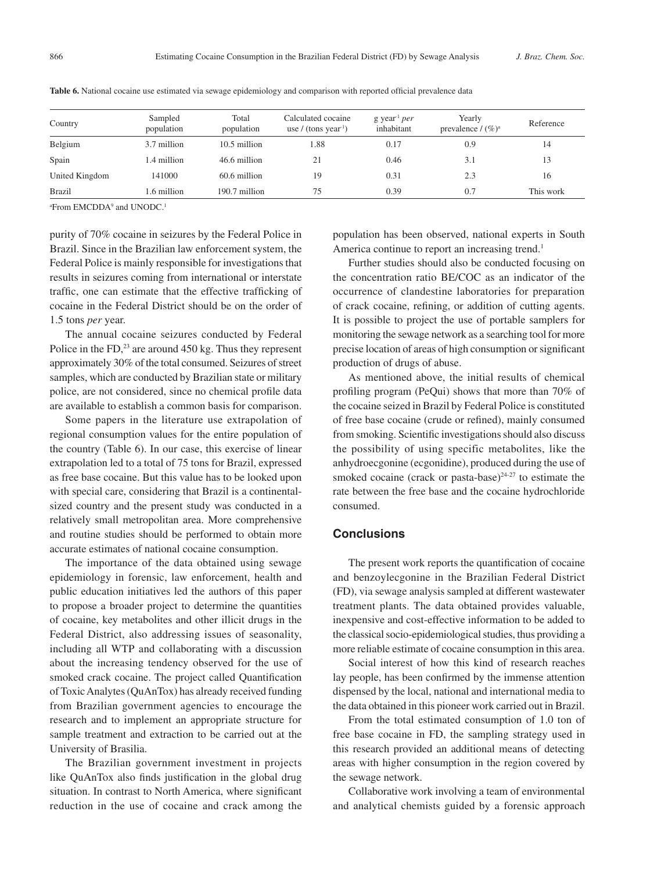| Country        | Sampled<br>population | Total<br>population | Calculated cocaine<br>use / (tons year <sup>1</sup> ) | g year $per$<br>inhabitant | Yearly<br>prevalence / $(\%)^a$ | Reference |
|----------------|-----------------------|---------------------|-------------------------------------------------------|----------------------------|---------------------------------|-----------|
| Belgium        | 3.7 million           | $10.5$ million      | 1.88                                                  | 0.17                       | 0.9                             | 14        |
| Spain          | 1.4 million           | 46.6 million        | 21                                                    | 0.46                       | 3.1                             | 13        |
| United Kingdom | 141000                | 60.6 million        | 19                                                    | 0.31                       | 2.3                             | 16        |
| <b>Brazil</b>  | 1.6 million           | 190.7 million       | 75                                                    | 0.39                       | 0.7                             | This work |

**Table 6.** National cocaine use estimated via sewage epidemiology and comparison with reported official prevalence data

<sup>a</sup>From EMCDDA<sup>9</sup> and UNODC.<sup>1</sup>

purity of 70% cocaine in seizures by the Federal Police in Brazil. Since in the Brazilian law enforcement system, the Federal Police is mainly responsible for investigations that results in seizures coming from international or interstate traffic, one can estimate that the effective trafficking of cocaine in the Federal District should be on the order of 1.5 tons *per* year.

The annual cocaine seizures conducted by Federal Police in the FD, $^{23}$  are around 450 kg. Thus they represent approximately 30% of the total consumed. Seizures of street samples, which are conducted by Brazilian state or military police, are not considered, since no chemical profile data are available to establish a common basis for comparison.

Some papers in the literature use extrapolation of regional consumption values for the entire population of the country (Table 6). In our case, this exercise of linear extrapolation led to a total of 75 tons for Brazil, expressed as free base cocaine. But this value has to be looked upon with special care, considering that Brazil is a continentalsized country and the present study was conducted in a relatively small metropolitan area. More comprehensive and routine studies should be performed to obtain more accurate estimates of national cocaine consumption.

The importance of the data obtained using sewage epidemiology in forensic, law enforcement, health and public education initiatives led the authors of this paper to propose a broader project to determine the quantities of cocaine, key metabolites and other illicit drugs in the Federal District, also addressing issues of seasonality, including all WTP and collaborating with a discussion about the increasing tendency observed for the use of smoked crack cocaine. The project called Quantification of Toxic Analytes (QuAnTox) has already received funding from Brazilian government agencies to encourage the research and to implement an appropriate structure for sample treatment and extraction to be carried out at the University of Brasilia.

The Brazilian government investment in projects like QuAnTox also finds justification in the global drug situation. In contrast to North America, where significant reduction in the use of cocaine and crack among the population has been observed, national experts in South America continue to report an increasing trend.<sup>1</sup>

Further studies should also be conducted focusing on the concentration ratio BE/COC as an indicator of the occurrence of clandestine laboratories for preparation of crack cocaine, refining, or addition of cutting agents. It is possible to project the use of portable samplers for monitoring the sewage network as a searching tool for more precise location of areas of high consumption or significant production of drugs of abuse.

As mentioned above, the initial results of chemical profiling program (PeQui) shows that more than 70% of the cocaine seized in Brazil by Federal Police is constituted of free base cocaine (crude or refined), mainly consumed from smoking. Scientific investigations should also discuss the possibility of using specific metabolites, like the anhydroecgonine (ecgonidine), produced during the use of smoked cocaine (crack or pasta-base) $24-27$  to estimate the rate between the free base and the cocaine hydrochloride consumed.

## **Conclusions**

The present work reports the quantification of cocaine and benzoylecgonine in the Brazilian Federal District (FD), via sewage analysis sampled at different wastewater treatment plants. The data obtained provides valuable, inexpensive and cost-effective information to be added to the classical socio-epidemiological studies, thus providing a more reliable estimate of cocaine consumption in this area.

Social interest of how this kind of research reaches lay people, has been confirmed by the immense attention dispensed by the local, national and international media to the data obtained in this pioneer work carried out in Brazil.

From the total estimated consumption of 1.0 ton of free base cocaine in FD, the sampling strategy used in this research provided an additional means of detecting areas with higher consumption in the region covered by the sewage network.

Collaborative work involving a team of environmental and analytical chemists guided by a forensic approach